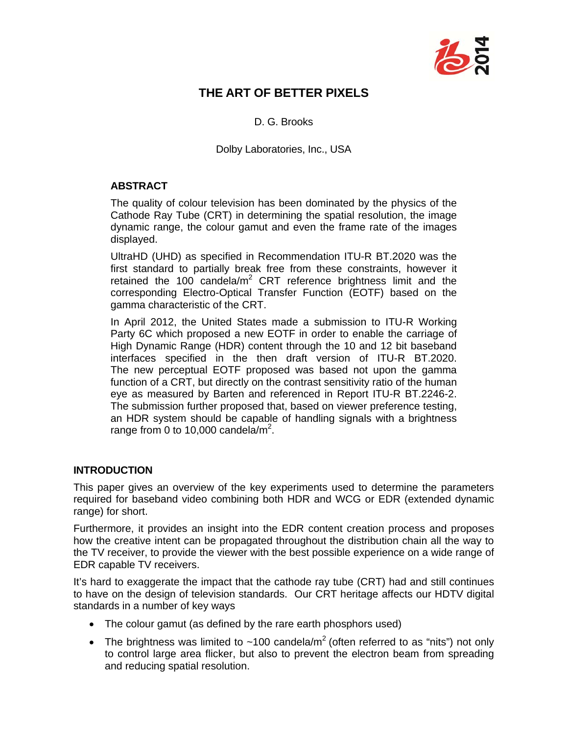

# **THE ART OF BETTER PIXELS**

D. G. Brooks

Dolby Laboratories, Inc., USA

## **ABSTRACT**

The quality of colour television has been dominated by the physics of the Cathode Ray Tube (CRT) in determining the spatial resolution, the image dynamic range, the colour gamut and even the frame rate of the images displayed.

UltraHD (UHD) as specified in Recommendation ITU-R BT.2020 was the first standard to partially break free from these constraints, however it retained the 100 candela/ $m^2$  CRT reference brightness limit and the corresponding Electro-Optical Transfer Function (EOTF) based on the gamma characteristic of the CRT.

In April 2012, the United States made a submission to ITU-R Working Party 6C which proposed a new EOTF in order to enable the carriage of High Dynamic Range (HDR) content through the 10 and 12 bit baseband interfaces specified in the then draft version of ITU-R BT.2020. The new perceptual EOTF proposed was based not upon the gamma function of a CRT, but directly on the contrast sensitivity ratio of the human eye as measured by Barten and referenced in Report ITU-R BT.2246-2. The submission further proposed that, based on viewer preference testing, an HDR system should be capable of handling signals with a brightness range from 0 to 10,000 candela/ $m^2$ .

#### **INTRODUCTION**

This paper gives an overview of the key experiments used to determine the parameters required for baseband video combining both HDR and WCG or EDR (extended dynamic range) for short.

Furthermore, it provides an insight into the EDR content creation process and proposes how the creative intent can be propagated throughout the distribution chain all the way to the TV receiver, to provide the viewer with the best possible experience on a wide range of EDR capable TV receivers.

It's hard to exaggerate the impact that the cathode ray tube (CRT) had and still continues to have on the design of television standards. Our CRT heritage affects our HDTV digital standards in a number of key ways

- The colour gamut (as defined by the rare earth phosphors used)
- The brightness was limited to  $\sim$ 100 candela/m<sup>2</sup> (often referred to as "nits") not only to control large area flicker, but also to prevent the electron beam from spreading and reducing spatial resolution.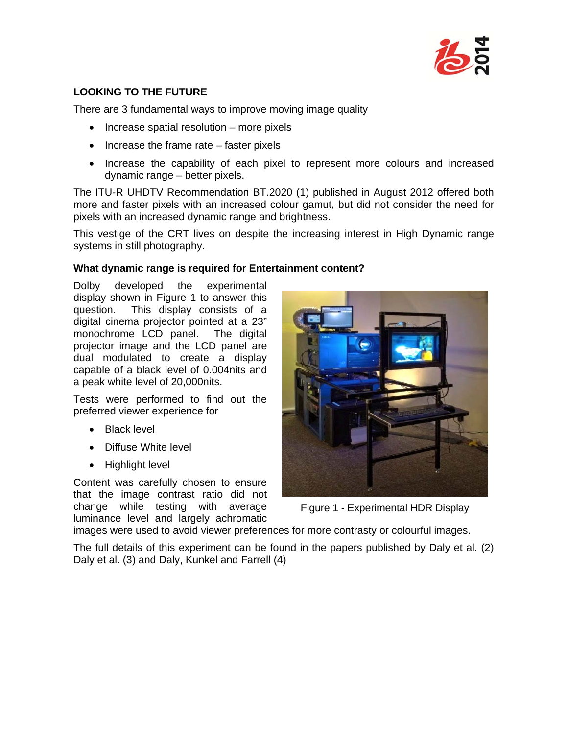

# **LOOKING TO THE FUTURE**

There are 3 fundamental ways to improve moving image quality

- $\bullet$  Increase spatial resolution more pixels
- $\bullet$  Increase the frame rate faster pixels
- Increase the capability of each pixel to represent more colours and increased dynamic range – better pixels.

The ITU-R UHDTV Recommendation BT.2020 (1) published in August 2012 offered both more and faster pixels with an increased colour gamut, but did not consider the need for pixels with an increased dynamic range and brightness.

This vestige of the CRT lives on despite the increasing interest in High Dynamic range systems in still photography.

# **What dynamic range is required for Entertainment content?**

Dolby developed the experimental display shown in Figure 1 to answer this question. This display consists of a digital cinema projector pointed at a 23" monochrome LCD panel. The digital projector image and the LCD panel are dual modulated to create a display capable of a black level of 0.004nits and a peak white level of 20,000nits.

Tests were performed to find out the preferred viewer experience for

- Black level
- Diffuse White level
- Highlight level

Content was carefully chosen to ensure that the image contrast ratio did not change while testing with average luminance level and largely achromatic





images were used to avoid viewer preferences for more contrasty or colourful images.

The full details of this experiment can be found in the papers published by Daly et al. (2) Daly et al. (3) and Daly, Kunkel and Farrell (4)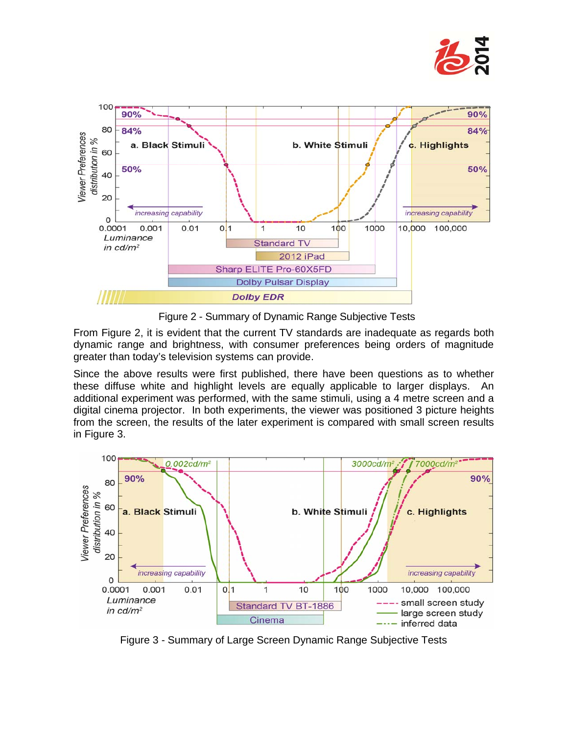



Figure 2 - Summary of Dynamic Range Subjective Tests

From Figure 2, it is evident that the current TV standards are inadequate as regards both dynamic range and brightness, with consumer preferences being orders of magnitude greater than today's television systems can provide.

Since the above results were first published, there have been questions as to whether these diffuse white and highlight levels are equally applicable to larger displays. An additional experiment was performed, with the same stimuli, using a 4 metre screen and a digital cinema projector. In both experiments, the viewer was positioned 3 picture heights from the screen, the results of the later experiment is compared with small screen results in Figure 3.



Figure 3 - Summary of Large Screen Dynamic Range Subjective Tests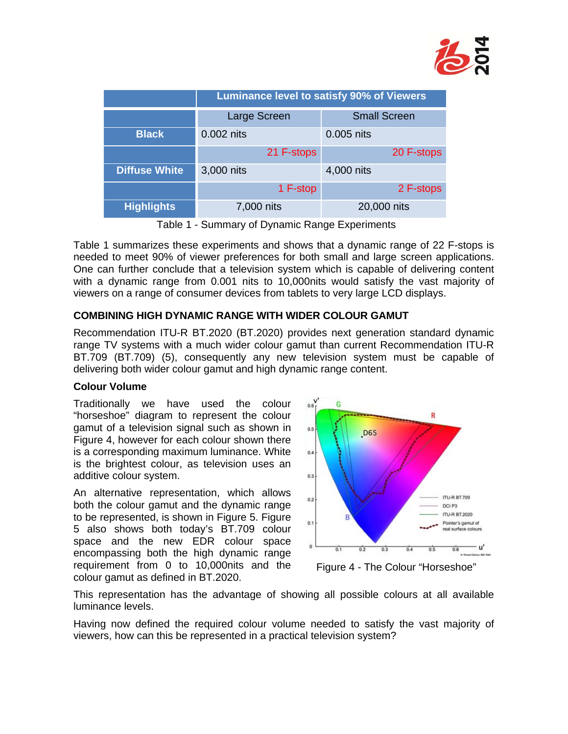

|                      | <b>Luminance level to satisfy 90% of Viewers</b> |                     |
|----------------------|--------------------------------------------------|---------------------|
|                      | Large Screen                                     | <b>Small Screen</b> |
| <b>Black</b>         | 0.002 nits                                       | 0.005 nits          |
|                      | 21 F-stops                                       | 20 F-stops          |
| <b>Diffuse White</b> | 3,000 nits                                       | 4,000 nits          |
|                      | 1 F-stop                                         | 2 F-stops           |
| <b>Highlights</b>    | 7,000 nits                                       | 20,000 nits         |

Table 1 - Summary of Dynamic Range Experiments

Table 1 summarizes these experiments and shows that a dynamic range of 22 F-stops is needed to meet 90% of viewer preferences for both small and large screen applications. One can further conclude that a television system which is capable of delivering content with a dynamic range from 0.001 nits to 10,000nits would satisfy the vast majority of viewers on a range of consumer devices from tablets to very large LCD displays.

## **COMBINING HIGH DYNAMIC RANGE WITH WIDER COLOUR GAMUT**

Recommendation ITU-R BT.2020 (BT.2020) provides next generation standard dynamic range TV systems with a much wider colour gamut than current Recommendation ITU-R BT.709 (BT.709) (5), consequently any new television system must be capable of delivering both wider colour gamut and high dynamic range content.

#### **Colour Volume**

Traditionally we have used the colour "horseshoe" diagram to represent the colour gamut of a television signal such as shown in Figure 4, however for each colour shown there is a corresponding maximum luminance. White is the brightest colour, as television uses an additive colour system.

An alternative representation, which allows both the colour gamut and the dynamic range to be represented, is shown in Figure 5. Figure 5 also shows both today's BT.709 colour space and the new EDR colour space encompassing both the high dynamic range requirement from 0 to 10,000nits and the colour gamut as defined in BT.2020.



Figure 4 - The Colour "Horseshoe"

This representation has the advantage of showing all possible colours at all available luminance levels.

Having now defined the required colour volume needed to satisfy the vast majority of viewers, how can this be represented in a practical television system?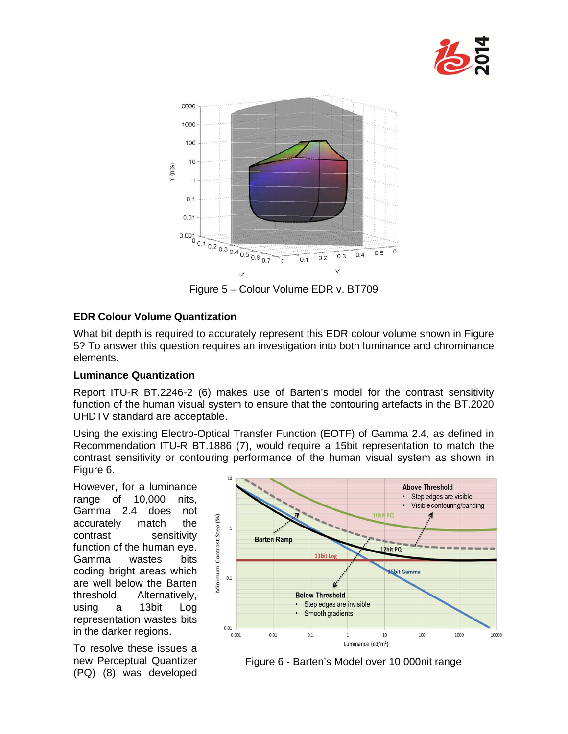



Figure 5 – Colour Volume EDR v. BT709

## **EDR Colour Volume Quantization**

What bit depth is required to accurately represent this EDR colour volume shown in Figure 5? To answer this question requires an investigation into both luminance and chrominance elements.

#### **Luminance Quantization**

Report ITU-R BT.2246-2 (6) makes use of Barten's model for the contrast sensitivity function of the human visual system to ensure that the contouring artefacts in the BT.2020 UHDTV standard are acceptable.

Using the existing Electro-Optical Transfer Function (EOTF) of Gamma 2.4, as defined in Recommendation ITU-R BT.1886 (7), would require a 15bit representation to match the contrast sensitivity or contouring performance of the human visual system as shown in Figure 6.

However, for a luminance range of 10,000 nits, Gamma 2.4 does not accurately match the contrast sensitivity function of the human eye. Gamma wastes bits coding bright areas which are well below the Barten threshold. Alternatively, using a 13bit Log representation wastes bits in the darker regions.

To resolve these issues a new Perceptual Quantizer (PQ) (8) was developed



Figure 6 - Barten's Model over 10,000nit range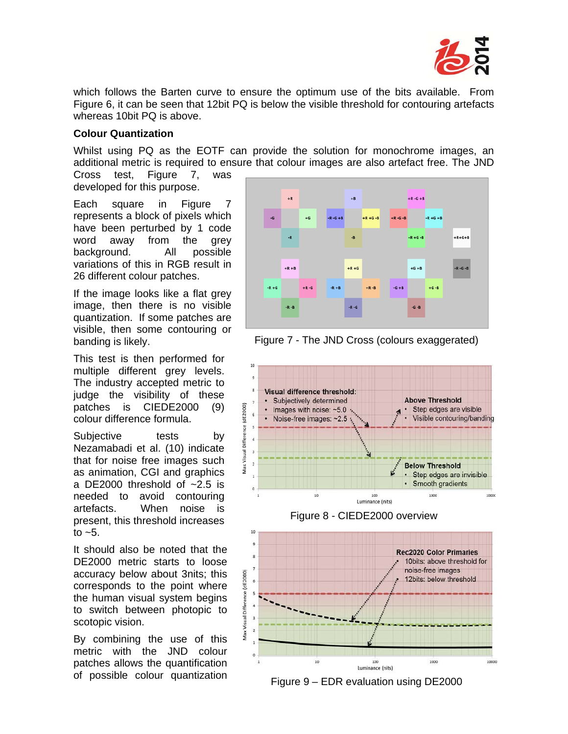

which follows the Barten curve to ensure the optimum use of the bits available. From Figure 6, it can be seen that 12bit PQ is below the visible threshold for contouring artefacts whereas 10bit PQ is above.

#### **Colour Quantization**

Whilst using PQ as the EOTF can provide the solution for monochrome images, an additional metric is required to ensure that colour images are also artefact free. The JND

Cross test, Figure 7, was developed for this purpose.

Each square in Figure 7 represents a block of pixels which have been perturbed by 1 code word away from the grey background. All possible variations of this in RGB result in 26 different colour patches.

If the image looks like a flat grey image, then there is no visible quantization. If some patches are visible, then some contouring or banding is likely.

This test is then performed for multiple different grey levels. The industry accepted metric to judge the visibility of these patches is CIEDE2000 (9) colour difference formula.

Subjective tests by Nezamabadi et al. (10) indicate that for noise free images such as animation, CGI and graphics a DE2000 threshold of ~2.5 is needed to avoid contouring artefacts. When noise is present, this threshold increases to  $~5.$ 

It should also be noted that the DE2000 metric starts to loose accuracy below about 3nits; this corresponds to the point where the human visual system begins to switch between photopic to scotopic vision.

By combining the use of this metric with the JND colour patches allows the quantification of possible colour quantization



Figure 7 - The JND Cross (colours exaggerated)







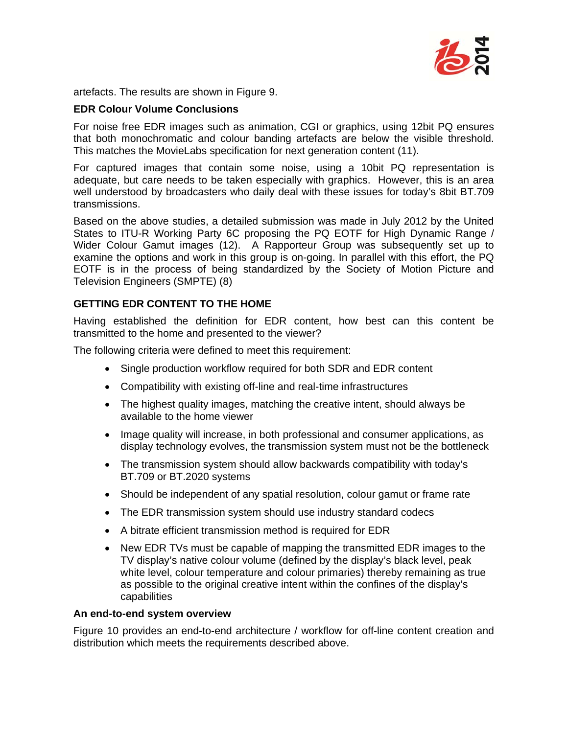

artefacts. The results are shown in Figure 9.

#### **EDR Colour Volume Conclusions**

For noise free EDR images such as animation, CGI or graphics, using 12bit PQ ensures that both monochromatic and colour banding artefacts are below the visible threshold. This matches the MovieLabs specification for next generation content (11).

For captured images that contain some noise, using a 10bit PQ representation is adequate, but care needs to be taken especially with graphics. However, this is an area well understood by broadcasters who daily deal with these issues for today's 8bit BT.709 transmissions.

Based on the above studies, a detailed submission was made in July 2012 by the United States to ITU-R Working Party 6C proposing the PQ EOTF for High Dynamic Range / Wider Colour Gamut images (12). A Rapporteur Group was subsequently set up to examine the options and work in this group is on-going. In parallel with this effort, the PQ EOTF is in the process of being standardized by the Society of Motion Picture and Television Engineers (SMPTE) (8)

#### **GETTING EDR CONTENT TO THE HOME**

Having established the definition for EDR content, how best can this content be transmitted to the home and presented to the viewer?

The following criteria were defined to meet this requirement:

- Single production workflow required for both SDR and EDR content
- Compatibility with existing off-line and real-time infrastructures
- The highest quality images, matching the creative intent, should always be available to the home viewer
- Image quality will increase, in both professional and consumer applications, as display technology evolves, the transmission system must not be the bottleneck
- The transmission system should allow backwards compatibility with today's BT.709 or BT.2020 systems
- Should be independent of any spatial resolution, colour gamut or frame rate
- The EDR transmission system should use industry standard codecs
- A bitrate efficient transmission method is required for EDR
- New EDR TVs must be capable of mapping the transmitted EDR images to the TV display's native colour volume (defined by the display's black level, peak white level, colour temperature and colour primaries) thereby remaining as true as possible to the original creative intent within the confines of the display's capabilities

#### **An end-to-end system overview**

Figure 10 provides an end-to-end architecture / workflow for off-line content creation and distribution which meets the requirements described above.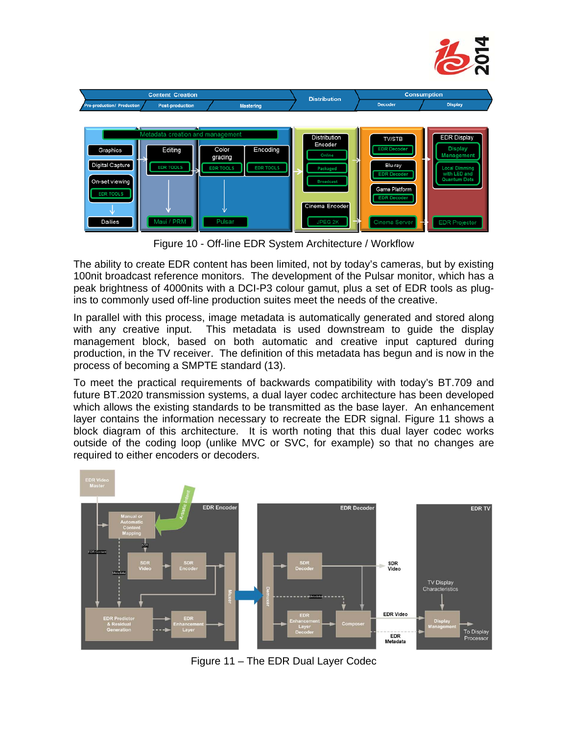



Figure 10 - Off-line EDR System Architecture / Workflow

The ability to create EDR content has been limited, not by today's cameras, but by existing 100nit broadcast reference monitors. The development of the Pulsar monitor, which has a peak brightness of 4000nits with a DCI-P3 colour gamut, plus a set of EDR tools as plugins to commonly used off-line production suites meet the needs of the creative.

In parallel with this process, image metadata is automatically generated and stored along with any creative input. This metadata is used downstream to guide the display management block, based on both automatic and creative input captured during production, in the TV receiver. The definition of this metadata has begun and is now in the process of becoming a SMPTE standard (13).

To meet the practical requirements of backwards compatibility with today's BT.709 and future BT.2020 transmission systems, a dual layer codec architecture has been developed which allows the existing standards to be transmitted as the base layer. An enhancement layer contains the information necessary to recreate the EDR signal. Figure 11 shows a block diagram of this architecture. It is worth noting that this dual layer codec works outside of the coding loop (unlike MVC or SVC, for example) so that no changes are required to either encoders or decoders.



Figure 11 – The EDR Dual Layer Codec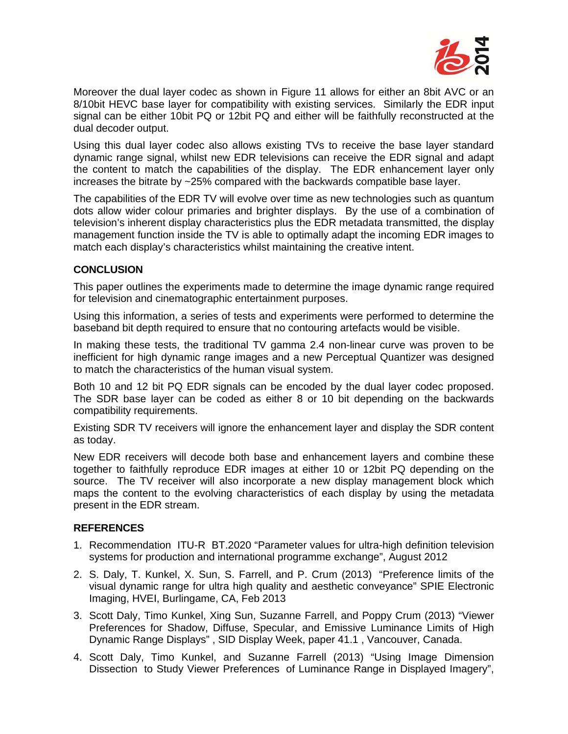

Moreover the dual layer codec as shown in Figure 11 allows for either an 8bit AVC or an 8/10bit HEVC base layer for compatibility with existing services. Similarly the EDR input signal can be either 10bit PQ or 12bit PQ and either will be faithfully reconstructed at the dual decoder output.

Using this dual layer codec also allows existing TVs to receive the base layer standard dynamic range signal, whilst new EDR televisions can receive the EDR signal and adapt the content to match the capabilities of the display. The EDR enhancement layer only increases the bitrate by ~25% compared with the backwards compatible base layer.

The capabilities of the EDR TV will evolve over time as new technologies such as quantum dots allow wider colour primaries and brighter displays. By the use of a combination of television's inherent display characteristics plus the EDR metadata transmitted, the display management function inside the TV is able to optimally adapt the incoming EDR images to match each display's characteristics whilst maintaining the creative intent.

## **CONCLUSION**

This paper outlines the experiments made to determine the image dynamic range required for television and cinematographic entertainment purposes.

Using this information, a series of tests and experiments were performed to determine the baseband bit depth required to ensure that no contouring artefacts would be visible.

In making these tests, the traditional TV gamma 2.4 non-linear curve was proven to be inefficient for high dynamic range images and a new Perceptual Quantizer was designed to match the characteristics of the human visual system.

Both 10 and 12 bit PQ EDR signals can be encoded by the dual layer codec proposed. The SDR base layer can be coded as either 8 or 10 bit depending on the backwards compatibility requirements.

Existing SDR TV receivers will ignore the enhancement layer and display the SDR content as today.

New EDR receivers will decode both base and enhancement layers and combine these together to faithfully reproduce EDR images at either 10 or 12bit PQ depending on the source. The TV receiver will also incorporate a new display management block which maps the content to the evolving characteristics of each display by using the metadata present in the EDR stream.

#### **REFERENCES**

- 1. Recommendation ITU-R BT.2020 "Parameter values for ultra-high definition television systems for production and international programme exchange", August 2012
- 2. S. Daly, T. Kunkel, X. Sun, S. Farrell, and P. Crum (2013) "Preference limits of the visual dynamic range for ultra high quality and aesthetic conveyance" SPIE Electronic Imaging, HVEI, Burlingame, CA, Feb 2013
- 3. Scott Daly, Timo Kunkel, Xing Sun, Suzanne Farrell, and Poppy Crum (2013) "Viewer Preferences for Shadow, Diffuse, Specular, and Emissive Luminance Limits of High Dynamic Range Displays" , SID Display Week, paper 41.1 , Vancouver, Canada.
- 4. Scott Daly, Timo Kunkel, and Suzanne Farrell (2013) "Using Image Dimension Dissection to Study Viewer Preferences of Luminance Range in Displayed Imagery",